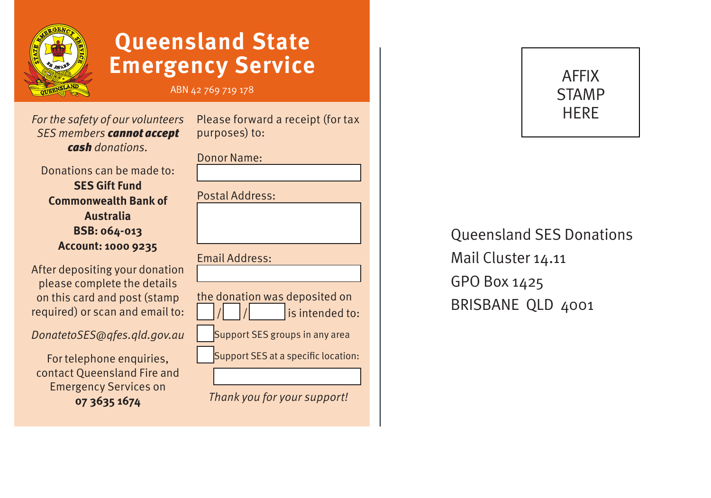

## **Queensland State Emergency Service**

#### ABN 42 769 719 178

*For the safety of our volunteers SES members cannot accept cash donations.*

Donations can be made to: **SES Gift Fund Commonwealth Bank of Australia BSB: 064-013 Account: 1000 9235**

After depositing your donation please complete the details on this card and post (stamp required) or scan and email to:

*DonatetoSES@qfes.qld.gov.au*

For telephone enquiries. contact Queensland Fire and Emergency Services on **07 3635 1674**

| Please forward a receipt (for tax<br>purposes) to: |
|----------------------------------------------------|
| Donor Name:                                        |
|                                                    |
| <b>Postal Address:</b>                             |
|                                                    |
| <b>Email Address:</b>                              |
|                                                    |
| the donation was deposited on<br>is intended to:   |
| Support SES groups in any area                     |
| Support SES at a specific location:                |
|                                                    |
| Thank you for your support!                        |

AFFIX **STAMP** HERE

### Queensland SES Donations Mail Cluster 14.11 GPO Box 1425 BRISBANE QLD 4001